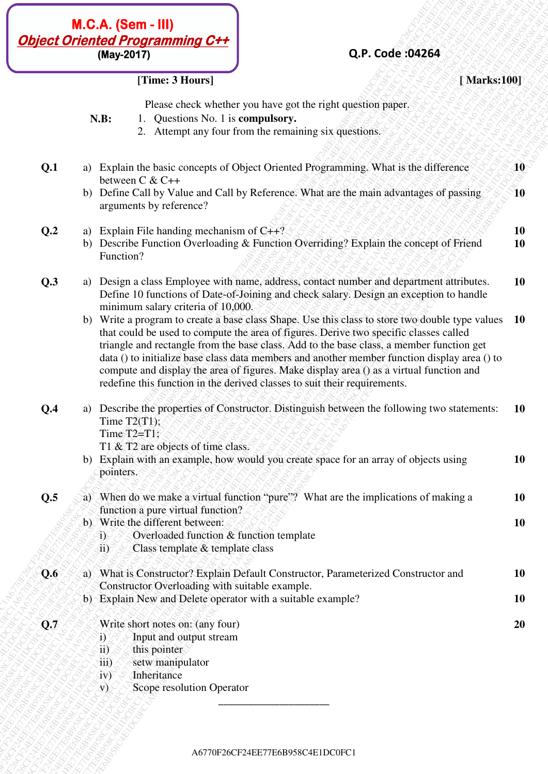# **Q.P. Code :04264**

## **[Time: 3 Hours] [ Marks:100]**

- **N.B:** 1. Questions No. 1 is **compulsory.**
	- 2. Attempt any four from the remaining six questions.

|     |                                                         | (May-2017)                                                                                                                                  | Q.P. Code: 04264                                                                                                                                                                                                                                                                                                                                                                                                                                                                                                                                             |                 |
|-----|---------------------------------------------------------|---------------------------------------------------------------------------------------------------------------------------------------------|--------------------------------------------------------------------------------------------------------------------------------------------------------------------------------------------------------------------------------------------------------------------------------------------------------------------------------------------------------------------------------------------------------------------------------------------------------------------------------------------------------------------------------------------------------------|-----------------|
|     |                                                         | [Time: 3 Hours]                                                                                                                             | [Marks:100]                                                                                                                                                                                                                                                                                                                                                                                                                                                                                                                                                  |                 |
|     | N.B:                                                    | 1. Questions No. 1 is compulsory.                                                                                                           | Please check whether you have got the right question paper.<br>2. Attempt any four from the remaining six questions.                                                                                                                                                                                                                                                                                                                                                                                                                                         |                 |
| Q.1 |                                                         |                                                                                                                                             | a) Explain the basic concepts of Object Oriented Programming. What is the difference                                                                                                                                                                                                                                                                                                                                                                                                                                                                         | $40^\circ$      |
|     |                                                         | between C & C++<br>arguments by reference?                                                                                                  | b) Define Call by Value and Call by Reference. What are the main advantages of passing                                                                                                                                                                                                                                                                                                                                                                                                                                                                       | $\sqrt{10}$     |
| Q.2 | b)<br>Function?                                         | a) Explain File handing mechanism of $C++?$                                                                                                 | Describe Function Overloading & Function Overriding? Explain the concept of Friend                                                                                                                                                                                                                                                                                                                                                                                                                                                                           | <b>10</b><br>10 |
| Q.3 |                                                         | minimum salary criteria of 10,000.                                                                                                          | a) Design a class Employee with name, address, contact number and department attributes.<br>Define 10 functions of Date-of-Joining and check salary. Design an exception to handle                                                                                                                                                                                                                                                                                                                                                                           | <b>10</b>       |
|     |                                                         |                                                                                                                                             | b) Write a program to create a base class Shape. Use this class to store two double type values<br>that could be used to compute the area of figures. Derive two specific classes called<br>triangle and rectangle from the base class. Add to the base class, a member function get<br>data () to initialize base class data members and another member function display area () to<br>compute and display the area of figures. Make display area () as a virtual function and<br>redefine this function in the derived classes to suit their requirements. | <b>10</b>       |
| Q.4 |                                                         | Time $T2(T1)$ ;<br>Time $T2=T1$ ;<br>T1 & T2 are objects of time class.                                                                     | a) Describe the properties of Constructor. Distinguish between the following two statements:                                                                                                                                                                                                                                                                                                                                                                                                                                                                 | <b>10</b>       |
|     | b)<br>pointers.                                         |                                                                                                                                             | Explain with an example, how would you create space for an array of objects using                                                                                                                                                                                                                                                                                                                                                                                                                                                                            | <b>10</b>       |
| Q.5 |                                                         | function a pure virtual function?                                                                                                           | a) When do we make a virtual function "pure"? What are the implications of making a                                                                                                                                                                                                                                                                                                                                                                                                                                                                          | <b>10</b>       |
|     | 1)<br>ii)                                               | b) Write the different between:<br>Overloaded function & function template<br>Class template & template class                               |                                                                                                                                                                                                                                                                                                                                                                                                                                                                                                                                                              | <b>10</b>       |
| Q.6 |                                                         | Constructor Overloading with suitable example.                                                                                              | a) What is Constructor? Explain Default Constructor, Parameterized Constructor and                                                                                                                                                                                                                                                                                                                                                                                                                                                                           | 10              |
|     |                                                         |                                                                                                                                             | b) Explain New and Delete operator with a suitable example?                                                                                                                                                                                                                                                                                                                                                                                                                                                                                                  | <b>10</b>       |
| Q.7 | i)<br>ii)<br>าี่บี่ปั<br>(y)<br>$\overline{\mathbf{v}}$ | Write short notes on: (any four)<br>Input and output stream<br>this pointer<br>setw manipulator<br>Inheritance<br>Scope resolution Operator |                                                                                                                                                                                                                                                                                                                                                                                                                                                                                                                                                              | 20              |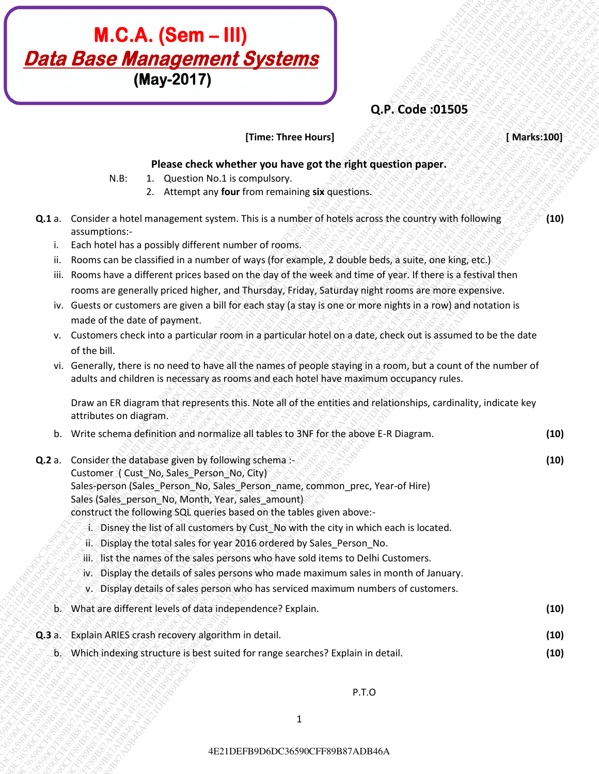# **M.C.A. (Sem – III)**<br>
(**May-2017)**<br> **(May-2017)**<br> **CP. Code 50365**<br> **These chock whether you have a basic fixed properties**<br> **CA2**<br> **CA2**<br> **CA2**<br> **CA3**<br> **CA2**<br> **CA3**<br> **CA3**<br> **CA3**<br> **CA3**<br> **CA3**<br> **CA3**<br> **CA3**<br> **CA3**<br> **CA3 M.C.A. (Sem – III)**<br>
Data Base Management Systems<br>
The surface tractionary contribute you have got the right question space.<br>
1. Concerns in the concerns of the right question space.<br>
2. Accepts at the right of the conce **M.C.A. (Sem – III)**<br> **Data Base Management Systems**<br>
(May-2017)<br>
These thest Hendric House part the right specifical paper.<br>
19. 2. Conservation computer styles are also the right specifical paper.<br>
19. 2. Conservation c **M.C.A. (Sem - III)**<br> **Data Base Management Systems**<br>
(Way-2017)<br>
Net L. Location Religionship (appendix)<br>
N.E. Location Religionship (appendix)<br>
N.E. Location Religionship (and the right quadration paper.<br>
2. According t **C21 DEFB9D6DC36590CFF89B87**<br> **CPC Code 0.5535**<br>
These three three these team of Code 0.6535<br>
These chose control is the control in the complete team of the registration of<br>
2. Lectures are the complete team of the contro **C21 DEFB9D6DC36590CFF89B87**<br> **CPC Code 0.5535**<br>
These three three these team of Code 0.6535<br>
These chose control is the control in the complete team of the registration of<br>
2. Lectures are the complete team of the contro **C21 DEFB9D6DC36590CFF89B87**<br> **CPC Code 0.5535**<br>
These three three these team of Code 0.6535<br>
These chose control is the control in the complete team of the registration of<br>
2. Lectures are the complete team of the contro **C21 DEFB9D6DC36590CFF89B87**<br> **CPC Code 0.5535**<br>
These three three these team of Code 0.6535<br>
These chose control is the control in the complete team of the registration of<br>
2. Lectures are the complete team of the contro **C21 DEFB9D6DC36590CFF89B87**<br> **CPC Code 0.5535**<br>
These three three these team of Code 0.6535<br>
These chose control is the control in the complete team of the registration of<br>
2. Lectures are the complete team of the contro **C21 DEFB9D6DC36590CFF89B87**<br> **CPC Code 0.5535**<br>
These three three these team of Code 0.6535<br>
These chose control is the control in the complete team of the registration of<br>
2. Lectures are the complete team of the contro **C21 DEFB9D6DC36590CFF89B87**<br> **CPC Code 0.5535**<br>
These three three these team of Code 0.6535<br>
These chose control is the control in the complete team of the registration of<br>
2. Lectures are the complete team of the contro **C21 DEFB9D6DC36590CFF89B87**<br> **CPC Code 0.5535**<br>
These three three these team of Code 0.6535<br>
These chose control is the control in the complete team of the registration of<br>
2. Lectures are the complete team of the contro **C21 DEFB9D6DC36590CFF89B87**<br> **CPC Code 0.5535**<br>
These three three these team of Code 0.6535<br>
These chose control is the control in the complete team of the registration of<br>
2. Lectures are the complete team of the contro **C21 DEFB9D6DC36590CFF89B87**<br> **CPC Code 0.5535**<br>
These three three these team of Code 0.6535<br>
These chose control is the control in the complete team of the registration of<br>
2. Lectures are the complete team of the contro **EXECUTE B8D6DC3668**<br>
CHAPE2010CFF8D6DC36580CFF888<br>
VALUE ACCORE ACTIVE THE HOMES CONTINUE ARTICLE TO CONTINUE ARTICLE TO CONTINUE ARTICLE TO CONTINUE ARTICLE TO CONTINUE ARTICLE TO CONTINUE ARTICLE TO CONTINUE ARTICLE TO **EXECUTE:**<br> **CALCOSE COFF89B87ADB46A4E2012DEFF80B87ADB46A4E21DEFB8D6DC36580CFF89B87ADB46A4E21DEFB9D6DC36580CFF89B87ADB46A4E21DEFB81A2E1DEFB9D6DC365844E21DEFB81A2E1DEFB9D6DC3654E21DEFB9D6DC3654E21DEFB9D6DC3654E21DEFB9D6DC3 EXECT: COFF89B87A COFF89B87ADB46A4E2012DEFB9D6DC365**<br> **EXECT: COFF89B87ADB46A4E201DEFB9D6DC365**<br>
EXECT: COFF89B87ADF49A4E201DEFB9D6DC366A4E21DEFB8D6DC366A4E21DEFB8D6DC3654<br>
4.1 Correlation and the strategies of the str **M.C.A. (Semi-III)**<br> **CALCORES CHECK (Margin 2017)**<br>
These React whether you have get the right question poper.<br>
4. Concert shows that the real of the concernent stress that is a concernent stress of the concernent stress **M.C.A. (Sem – III)**<br>
(May-2017)<br>
(May-2017)<br>
We be an electrometric types the right quasicon paper.<br>
1. Constant a later where the strengtheness and the complete the right quasicon paper.<br>
1. Constant a later when the co **M.C.A. (Sem – III)**<br> **Max Chase Check whether was have controlled the right question apper.** The context interaction apper.<br>
4B. Peace check whether was have got the right question paper.<br>
4B. Location and the context

# **Q.P. Code :01505**

## **[Time: Three Hours]** *<b>EXAMAGE AND STATE STATE STATE: 100*

**(10)** 

**(10)** 

## **Please check whether you have got the right question paper.**

- N.B: 1. Question No.1 is compulsory.
	- 2. Attempt any **four** from remaining **six** questions.
- **Q.1** a. Consider a hotel management system. This is a number of hotels across the country with following assumptions:
	- i. Each hotel has a possibly different number of rooms.
	- ii. Rooms can be classified in a number of ways (for example, 2 double beds, a suite, one king, etc.)
	- iii. Rooms have a different prices based on the day of the week and time of year. If there is a festival then rooms are generally priced higher, and Thursday, Friday, Saturday night rooms are more expensive.
	- iv. Guests or customers are given a bill for each stay (a stay is one or more nights in a row) and notation is made of the date of payment.
	- v. Customers check into a particular room in a particular hotel on a date, check out is assumed to be the date of the bill.
	- vi. Generally, there is no need to have all the names of people staying in a room, but a count of the number of adults and children is necessary as rooms and each hotel have maximum occupancy rules.

Draw an ER diagram that represents this. Note all of the entities and relationships, cardinality, indicate key attributes on diagram.

| v. Write schema definition and normalize all tables to 3NF for the above E-R Diagram. | (10) |
|---------------------------------------------------------------------------------------|------|
| みもくころく ごうやく くくとおふぞう ムラズ・メン                                                            |      |

**Q.2** a. Consider the database given by following schema :-

Customer ( Cust\_No, Sales\_Person\_No, City)

Sales-person (Sales\_Person\_No, Sales\_Person\_name, common\_prec, Year-of Hire)

Sales (Sales\_person\_No, Month, Year, sales\_amount)

construct the following SQL queries based on the tables given above:-

- i. Disney the list of all customers by Cust\_No with the city in which each is located.
- ii. Display the total sales for year 2016 ordered by Sales\_Person\_No.
- iii. list the names of the sales persons who have sold items to Delhi Customers.
- iv. Display the details of sales persons who made maximum sales in month of January.
- v. Display details of sales person who has serviced maximum numbers of customers.
- b. What are different levels of data independence? Explain. **(10)**
- **Q.3** a. Explain ARIES crash recovery algorithm in detail. **(10)** 
	- b. Which indexing structure is best suited for range searches? Explain in detail. **(10)**

 $\mathcal{P}(\mathcal{P}(\mathcal{P},\mathcal{P},\mathcal{P},\mathcal{P},\mathcal{P},\mathcal{P}))$  , and the contract of  $\mathbf{P}$  . The contract of  $\mathbf{P}$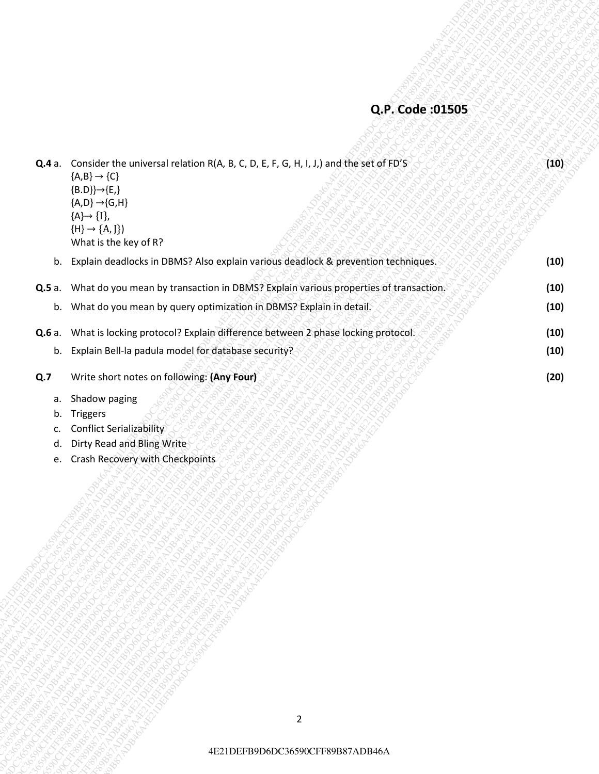# **Q.P. Code :01505**

| Q.P. Code: 01505<br>Q.4 a. Consider the universal relation R(A, B, C, D, E, F, G, H, I, J,) and the set of FD'S<br>(10)<br>${A,B} \rightarrow {C}$<br>${B.D}} {\rightarrow} {E}$<br>${A,D} \rightarrow {G,H}$<br>${A} \rightarrow {I},$<br>${H} \rightarrow {A, J}$<br>What is the key of R?<br>b. Explain deadlocks in DBMS? Also explain various deadlock & prevention techniques.<br>(10)<br>What do you mean by transaction in DBMS? Explain various properties of transaction.<br>(10)<br><b>Q.5</b> a.<br>b. What do you mean by query optimization in DBMS? Explain in detail.<br>(10)<br>(10)<br>Q.6 a. What is locking protocol? Explain difference between 2 phase locking protocol.<br>b. Explain Bell-la padula model for database security?<br>(10)<br>Write short notes on following: (Any Four)<br>(20)<br>Q.7<br>Shadow paging<br>а.<br>Triggers<br>b.<br>Conflict Serializability<br>c.<br>Dirty Read and Bling Write<br>d.<br>Crash Recovery with Checkpoints<br>e. |                |  |
|---------------------------------------------------------------------------------------------------------------------------------------------------------------------------------------------------------------------------------------------------------------------------------------------------------------------------------------------------------------------------------------------------------------------------------------------------------------------------------------------------------------------------------------------------------------------------------------------------------------------------------------------------------------------------------------------------------------------------------------------------------------------------------------------------------------------------------------------------------------------------------------------------------------------------------------------------------------------------------------|----------------|--|
|                                                                                                                                                                                                                                                                                                                                                                                                                                                                                                                                                                                                                                                                                                                                                                                                                                                                                                                                                                                       |                |  |
|                                                                                                                                                                                                                                                                                                                                                                                                                                                                                                                                                                                                                                                                                                                                                                                                                                                                                                                                                                                       |                |  |
|                                                                                                                                                                                                                                                                                                                                                                                                                                                                                                                                                                                                                                                                                                                                                                                                                                                                                                                                                                                       |                |  |
|                                                                                                                                                                                                                                                                                                                                                                                                                                                                                                                                                                                                                                                                                                                                                                                                                                                                                                                                                                                       |                |  |
|                                                                                                                                                                                                                                                                                                                                                                                                                                                                                                                                                                                                                                                                                                                                                                                                                                                                                                                                                                                       |                |  |
|                                                                                                                                                                                                                                                                                                                                                                                                                                                                                                                                                                                                                                                                                                                                                                                                                                                                                                                                                                                       |                |  |
|                                                                                                                                                                                                                                                                                                                                                                                                                                                                                                                                                                                                                                                                                                                                                                                                                                                                                                                                                                                       |                |  |
|                                                                                                                                                                                                                                                                                                                                                                                                                                                                                                                                                                                                                                                                                                                                                                                                                                                                                                                                                                                       | $\overline{2}$ |  |

- c. Conflict Serializability
- d. Dirty Read and Bling Write
- e. Crash Recovery with Checkpoints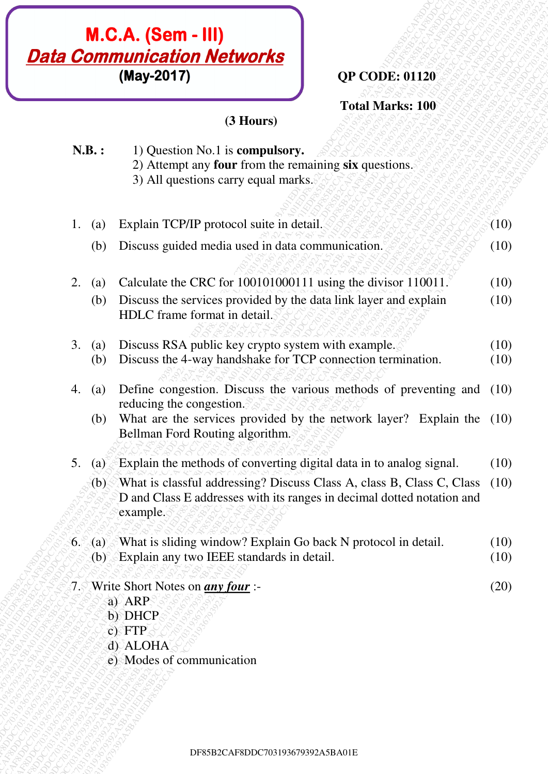# **QP CODE: 01120**

# **(3 Hours)**

|    |                                         | <b>M.C.A. (Sem - III)</b><br><b>Data Communication Networks</b><br>(May-2017)<br><b>QP CODE: 01120</b>                                                      |              |
|----|-----------------------------------------|-------------------------------------------------------------------------------------------------------------------------------------------------------------|--------------|
|    |                                         | <b>Total Marks: 100</b><br>(3 Hours)                                                                                                                        |              |
|    | N.B.:                                   | 1) Question No.1 is compulsory.<br>2) Attempt any four from the remaining six questions.<br>3) All questions carry equal marks.                             |              |
| 1. | $\left( a\right)$                       | Explain TCP/IP protocol suite in detail.                                                                                                                    | (10)         |
|    | (b)                                     | Discuss guided media used in data communication.                                                                                                            | (10)         |
|    | 2.<br>$\left( a\right)$                 | Calculate the CRC for 100101000111 using the divisor 110011.                                                                                                | (10)         |
|    | (b)                                     | Discuss the services provided by the data link layer and explain<br>HDLC frame format in detail.                                                            | (10)         |
|    | 3. (a)<br>(b)                           | Discuss RSA public key crypto system with example.<br>Discuss the 4-way handshake for TCP connection termination.                                           | (10)<br>(10) |
|    | 4.<br>(a)                               | Define congestion. Discuss the various methods of preventing and<br>reducing the congestion.                                                                | (10)         |
|    | (b)                                     | What are the services provided by the network layer? Explain the (10)<br><b>Bellman Ford Routing algorithm.</b>                                             |              |
| 5. | $\left( a\right)$                       | Explain the methods of converting digital data in to analog signal.                                                                                         | (10)         |
|    | (b)                                     | What is classful addressing? Discuss Class A, class B, Class C, Class<br>D and Class E addresses with its ranges in decimal dotted notation and<br>example. | (10)         |
|    | 6.5<br>(a)<br>$\langle$ b) <sup>s</sup> | What is sliding window? Explain Go back N protocol in detail.<br>Explain any two IEEE standards in detail.                                                  | (10)<br>(10) |
|    |                                         | 7. Write Short Notes on <i>any four</i> :-<br>a) ARP<br>b) DHCP<br>$c)$ FTP<br>d) ALOHA<br>e) Modes of communication                                        | (20)         |
|    |                                         |                                                                                                                                                             |              |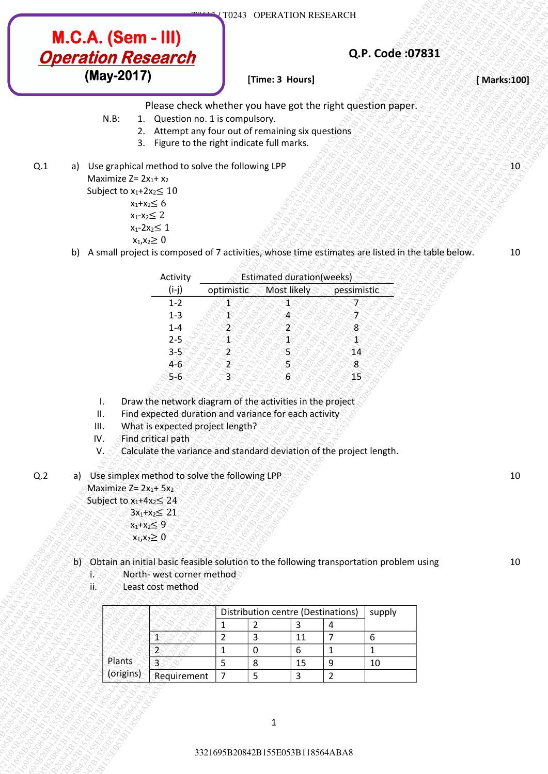# **Q.P. Code :07831**

- N.B: 1. Question no. 1 is compulsory.
	- 2. Attempt any four out of remaining six questions
	- 3. Figure to the right indicate full marks.
- Q.1 a) Use graphical method to solve the following LPP

- $x_1 + x_2 \leq 6$
- $x_1-x_2 \leq 2$
- $x_1 2x_2 \leq 1$
- $x_1, x_2 \geq 0$
- b) A small project is composed of 7 activities, whose time estimates are listed in the table below.

|     | <b>M.C.A. (Sem - III)</b> |                                                             |                                                                                                                                                                                                                                                     |                               |                                    |                    |                                  | Q.P. Code: 07831   |              |
|-----|---------------------------|-------------------------------------------------------------|-----------------------------------------------------------------------------------------------------------------------------------------------------------------------------------------------------------------------------------------------------|-------------------------------|------------------------------------|--------------------|----------------------------------|--------------------|--------------|
|     |                           | (May-2017)                                                  | <b>Operation Research</b>                                                                                                                                                                                                                           |                               |                                    |                    |                                  |                    | [ Marks:100] |
|     |                           |                                                             |                                                                                                                                                                                                                                                     |                               | [Time: 3 Hours]                    |                    |                                  |                    |              |
|     |                           | $N.B$ :<br>2.                                               | Please check whether you have got the right question paper.<br>1. Question no. 1 is compulsory.<br>Attempt any four out of remaining six questions<br>3. Figure to the right indicate full marks.                                                   |                               |                                    |                    |                                  |                    |              |
| Q.1 | a)                        |                                                             | Use graphical method to solve the following LPP                                                                                                                                                                                                     |                               |                                    |                    |                                  |                    | 10           |
|     |                           | Maximize $Z = 2x_1 + x_2$<br>Subject to $x_1+2x_2 \leq 10$  |                                                                                                                                                                                                                                                     |                               |                                    |                    |                                  |                    |              |
|     |                           |                                                             | $x_1+x_2 \leq 6$                                                                                                                                                                                                                                    |                               |                                    |                    |                                  |                    |              |
|     |                           |                                                             | $x_1-x_2 \leq 2$<br>$x_1 - 2x_2 \leq 1$                                                                                                                                                                                                             |                               |                                    |                    |                                  |                    |              |
|     |                           |                                                             | $x_1, x_2 \ge 0$                                                                                                                                                                                                                                    |                               |                                    |                    |                                  |                    |              |
|     | b)                        |                                                             | A small project is composed of 7 activities, whose time estimates are listed in the table below.                                                                                                                                                    |                               |                                    |                    |                                  |                    | 10           |
|     |                           |                                                             | Activity                                                                                                                                                                                                                                            |                               | <b>Estimated duration(weeks)</b>   |                    |                                  |                    |              |
|     |                           |                                                             | $(i-j)$                                                                                                                                                                                                                                             | optimistic                    |                                    | Most likely        | pessimistic                      |                    |              |
|     |                           |                                                             | $1 - 2$                                                                                                                                                                                                                                             | Æ                             |                                    | -1                 | 7                                |                    |              |
|     |                           |                                                             | $1 - 3$<br>$1 - 4$                                                                                                                                                                                                                                  | $\mathbf{I}$<br>$\mathbf{2}$  |                                    | 4<br>2             | ों<br>$\boldsymbol{8}$           |                    |              |
|     |                           |                                                             | $2 - 5$                                                                                                                                                                                                                                             | Ă.                            |                                    | $\mathbf{1}^\circ$ | $1 \overline{}$                  |                    |              |
|     |                           |                                                             | $3 - 5$                                                                                                                                                                                                                                             | $\overline{2}$                |                                    | 5.                 | 14                               |                    |              |
|     |                           |                                                             | $4 - 6$<br>$5 - 6$                                                                                                                                                                                                                                  | $\mathbf{2}$<br>ેકે           |                                    | S<br>$6^{\circ}$   | 8<br>15                          |                    |              |
| Q.2 | III.<br>IV.<br>V.         | Maximize $Z = 2x_1 + 5x_2$<br>Subject to $x_1+4x_2 \leq 24$ | What is expected project length?<br>Find critical path<br>Calculate the variance and standard deviation of the project length.<br>a) Use simplex method to solve the following LPP<br>$3x_1 + x_2 \le 21$<br>$x_1 + x_2 \leq 9$<br>$x_1, x_2 \ge 0$ |                               |                                    |                    |                                  |                    | 10           |
|     | Ω                         |                                                             | b) Obtain an initial basic feasible solution to the following transportation problem using<br>North-west corner method<br>Least cost method                                                                                                         |                               |                                    |                    |                                  |                    | 10           |
|     |                           |                                                             |                                                                                                                                                                                                                                                     |                               |                                    |                    |                                  |                    |              |
|     | ïБ                        |                                                             |                                                                                                                                                                                                                                                     |                               | Distribution centre (Destinations) |                    |                                  | supply             |              |
|     |                           |                                                             |                                                                                                                                                                                                                                                     |                               |                                    |                    |                                  |                    |              |
|     |                           |                                                             | T                                                                                                                                                                                                                                                   | $\mathbf 1$<br>$\overline{2}$ | $\overline{2}$<br>3                | 3<br>11            | 4<br>$\overline{7}$              | 6                  |              |
|     |                           | Plants                                                      | 2<br>ತ                                                                                                                                                                                                                                              | $\mathbf 1$<br>5              | $\pmb{0}$<br>8                     | 6<br>15            | $\mathbf{1}$<br>$\boldsymbol{9}$ | $\mathbf{1}$<br>10 |              |

- II. Find expected duration and variance for each activity
- III. What is expected project length?
- IV. Find critical path
- V. Calculate the variance and standard deviation of the project length.
- Q.2 a) Use simplex method to solve the following LPP

- $x_1 + x_2 \leq 9$  $x_1, x_2 \geq 0$
- b) Obtain an initial basic feasible solution to the following transportation problem using
	- i. North-west corner method
	- ii. Least cost method

|           |             | Distribution centre (Destinations) |   | supply |
|-----------|-------------|------------------------------------|---|--------|
|           |             |                                    |   |        |
|           |             |                                    |   |        |
|           |             |                                    | b |        |
| Plants    |             |                                    |   |        |
| (origins) | Requirement |                                    |   |        |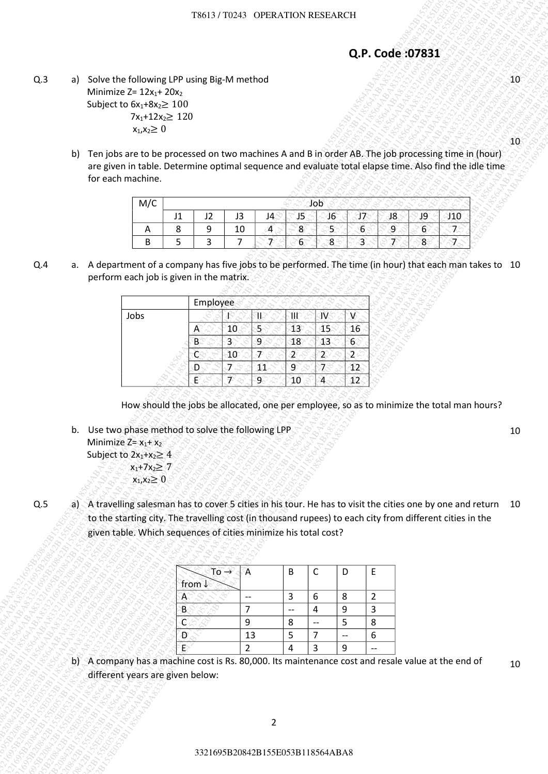## **Q.P. Code :07831**

| M/C      |    |                  |   |    |   |  |
|----------|----|------------------|---|----|---|--|
|          | רו | J3               |   | 18 |   |  |
| $\cdots$ |    | $\sqrt{2}$<br>10 | - |    |   |  |
|          |    |                  | n |    | о |  |

|     |              |                                                                                                                                                                                                                                                                                             |                     |                |                            | T8613 / T0243 OPERATION RESEARCH |                     |                                |                                 |                                              |                                        |         |                    |  |              |
|-----|--------------|---------------------------------------------------------------------------------------------------------------------------------------------------------------------------------------------------------------------------------------------------------------------------------------------|---------------------|----------------|----------------------------|----------------------------------|---------------------|--------------------------------|---------------------------------|----------------------------------------------|----------------------------------------|---------|--------------------|--|--------------|
|     |              |                                                                                                                                                                                                                                                                                             |                     |                |                            |                                  |                     |                                |                                 | Q.P. Code: 07831                             |                                        |         |                    |  |              |
| Q.3 | a)           | Solve the following LPP using Big-M method<br>Minimize $Z = 12x_1 + 20x_2$<br>Subject to $6x_1+8x_2 \ge 100$<br>$7x_1+12x_2 \ge 120$<br>$x_1, x_2 \ge 0$                                                                                                                                    |                     |                |                            |                                  |                     |                                |                                 |                                              |                                        |         |                    |  | $10^{\circ}$ |
|     | b)           | Ten jobs are to be processed on two machines A and B in order AB. The job processing time in (hour)<br>are given in table. Determine optimal sequence and evaluate total elapse time. Also find the idle time<br>for each machine.                                                          |                     |                |                            |                                  |                     |                                |                                 |                                              |                                        |         |                    |  | $10^{\circ}$ |
|     |              | M/C<br>Α                                                                                                                                                                                                                                                                                    | J1<br>8             | J2<br>9        | J3<br>10<br>$\overline{7}$ | J4<br>$\blacktriangleleft$<br>7  | J5<br>8             | Job<br>46<br>5.                | 17<br>$6\phantom{.}6$           |                                              | 38<br>$\overline{9}$<br>$\overline{7}$ | J9<br>6 | 310<br>$\tau$<br>7 |  |              |
| Q.4 |              | B<br>a. A department of a company has five jobs to be performed. The time (in hour) that each man takes to 10                                                                                                                                                                               | 5                   | $\overline{3}$ |                            |                                  | 6 <sup>°</sup>      | 8                              | 3                               |                                              |                                        | 8       |                    |  |              |
|     |              | perform each job is given in the matrix.                                                                                                                                                                                                                                                    |                     | Employee       |                            |                                  |                     |                                |                                 |                                              |                                        |         |                    |  |              |
|     |              | Jobs                                                                                                                                                                                                                                                                                        |                     |                | ß                          | ₩                                | ŬÉ                  | JV.                            | Æ                               |                                              |                                        |         |                    |  |              |
|     |              |                                                                                                                                                                                                                                                                                             |                     | A<br>B         | 10<br>3                    | 5 <sub>c</sub><br>9              | 13<br>18            | 45<br>43                       | 16<br>6 <sup>°</sup>            |                                              |                                        |         |                    |  |              |
|     |              |                                                                                                                                                                                                                                                                                             |                     | Č<br>D         | 10<br>$\overline{7}$       | Ŧ<br>11                          | 2<br>$\overline{9}$ | $\mathbf 2$<br>$\overline{7}$  | $\mathbf{2}$<br>$\overline{12}$ |                                              |                                        |         |                    |  |              |
|     |              | How should the jobs be allocated, one per employee, so as to minimize the total man hours?<br>b. Use two phase method to solve the following LPP<br>Minimize $Z = x_1 + x_2$<br>Subject to $2x_1 + x_2 \geq 4$<br>$x_1 + 7x_2 \ge 7$<br>$x_1, x_2 \ge 0$                                    |                     |                |                            |                                  |                     |                                |                                 |                                              |                                        |         |                    |  | 10           |
| Q.5 | $\mathsf{a}$ | A travelling salesman has to cover 5 cities in his tour. He has to visit the cities one by one and return 10<br>to the starting city. The travelling cost (in thousand rupees) to each city from different cities in the<br>given table. Which sequences of cities minimize his total cost? |                     |                |                            |                                  |                     |                                |                                 |                                              |                                        |         |                    |  |              |
|     |              |                                                                                                                                                                                                                                                                                             | from $\downarrow$   |                | $To \rightarrow$           | Α                                | B                   | $\mathsf C$                    | D                               | E                                            |                                        |         |                    |  |              |
|     |              |                                                                                                                                                                                                                                                                                             | A<br>$\overline{B}$ |                |                            | $\overline{\phantom{a}}$<br>7    | $\mathbf{3}$<br>$-$ | 6<br>4                         | 8<br>$\boldsymbol{9}$           | $\overline{2}$<br>$\mathbf{3}$               |                                        |         |                    |  |              |
|     |              |                                                                                                                                                                                                                                                                                             | c                   |                |                            | 9                                | 8                   | $\overline{\phantom{m}}$       | 5                               | 8                                            |                                        |         |                    |  |              |
|     |              |                                                                                                                                                                                                                                                                                             | D<br>Ë              |                |                            | 13<br>$\overline{2}$             | 5<br>$\overline{4}$ | $\overline{7}$<br>$\mathbf{3}$ | $-$<br>9                        | $\boldsymbol{6}$<br>$\overline{\phantom{a}}$ |                                        |         |                    |  |              |
|     |              | b) A company has a machine cost is Rs. 80,000. Its maintenance cost and resale value at the end of<br>different years are given below:                                                                                                                                                      |                     |                |                            |                                  |                     |                                |                                 |                                              |                                        |         |                    |  | 10           |
|     |              |                                                                                                                                                                                                                                                                                             |                     |                |                            | $\overline{2}$                   |                     |                                |                                 |                                              |                                        |         |                    |  |              |

|      | A  | B | C | I) | F |
|------|----|---|---|----|---|
| from |    |   |   |    |   |
|      |    | 3 | 6 | 8  |   |
|      |    |   |   |    |   |
|      |    | 8 |   |    | 8 |
|      | 13 |   |   |    | h |
|      |    |   |   |    |   |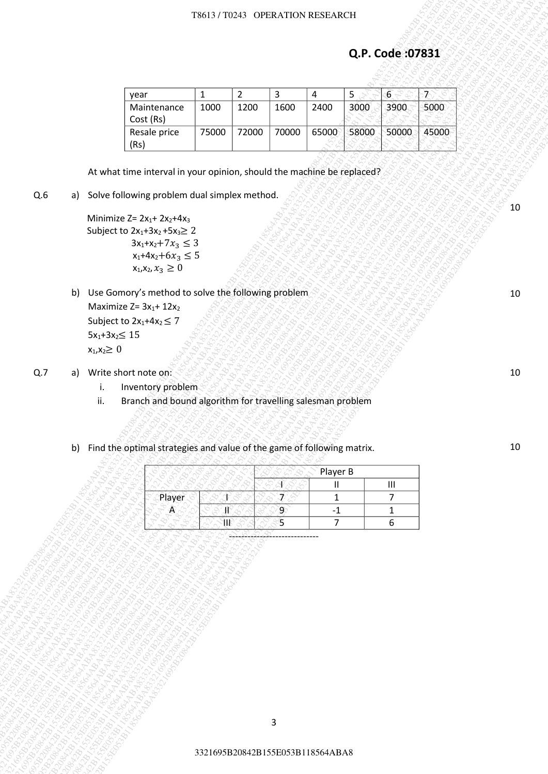### T8613 / T0243 OPERATION RESEARCH

| Q.P. Code: 07831<br>$\overline{6}$<br>$\overline{2}$<br>$\mathbf{3}$<br>5<br>$\overline{7}$<br>$\mathbf{1}$<br>4<br>year<br>2400<br>3000<br>3900<br>5000<br>1000<br>1200<br>1600<br>Maintenance<br>Cost (Rs)<br>58000<br>72000<br>70000<br>65000<br>50000<br>Resale price<br>75000<br>(Rs)<br>At what time interval in your opinion, should the machine be replaced?<br>a) Solve following problem dual simplex method.<br>Minimize $Z = 2x_1 + 2x_2 + 4x_3$<br>Subject to $2x_1 + 3x_2 + 5x_3 \ge 2$<br>$3x_1 + x_2 + 7x_3 \leq 3$<br>$x_1 + 4x_2 + 6x_3 \le 5$<br>$x_1, x_2, x_3 \geq 0$<br>Use Gomory's method to solve the following problem<br>b)<br>Maximize $Z = 3x_1 + 12x_2$<br>Subject to $2x_1+4x_2 \leq 7$<br>$5x_1+3x_2 \leq 15$<br>$x_1, x_2 \geq 0$<br>a) Write short note on:<br>Inventory problem<br>i.<br>Branch and bound algorithm for travelling salesman problem<br>ii.<br>Find the optimal strategies and value of the game of following matrix.<br>b)<br>Player B<br>$\ensuremath{\mathsf{III}}\xspace$<br>Ш<br>Player<br>ずら<br>7<br>$\mathbf{1}$<br>9<br>Æ<br>Æ<br>$-1$<br>$\mathbf{1}$ |     |  |  |       | T8613 / T0243 OPERATION RESEARCH |    |                |   |  |
|------------------------------------------------------------------------------------------------------------------------------------------------------------------------------------------------------------------------------------------------------------------------------------------------------------------------------------------------------------------------------------------------------------------------------------------------------------------------------------------------------------------------------------------------------------------------------------------------------------------------------------------------------------------------------------------------------------------------------------------------------------------------------------------------------------------------------------------------------------------------------------------------------------------------------------------------------------------------------------------------------------------------------------------------------------------------------------------------------------------|-----|--|--|-------|----------------------------------|----|----------------|---|--|
|                                                                                                                                                                                                                                                                                                                                                                                                                                                                                                                                                                                                                                                                                                                                                                                                                                                                                                                                                                                                                                                                                                                  |     |  |  |       |                                  |    |                |   |  |
|                                                                                                                                                                                                                                                                                                                                                                                                                                                                                                                                                                                                                                                                                                                                                                                                                                                                                                                                                                                                                                                                                                                  |     |  |  |       |                                  |    |                |   |  |
|                                                                                                                                                                                                                                                                                                                                                                                                                                                                                                                                                                                                                                                                                                                                                                                                                                                                                                                                                                                                                                                                                                                  |     |  |  |       |                                  |    |                |   |  |
| 45000                                                                                                                                                                                                                                                                                                                                                                                                                                                                                                                                                                                                                                                                                                                                                                                                                                                                                                                                                                                                                                                                                                            |     |  |  |       |                                  |    |                |   |  |
|                                                                                                                                                                                                                                                                                                                                                                                                                                                                                                                                                                                                                                                                                                                                                                                                                                                                                                                                                                                                                                                                                                                  |     |  |  |       |                                  |    |                |   |  |
|                                                                                                                                                                                                                                                                                                                                                                                                                                                                                                                                                                                                                                                                                                                                                                                                                                                                                                                                                                                                                                                                                                                  |     |  |  |       |                                  |    |                |   |  |
|                                                                                                                                                                                                                                                                                                                                                                                                                                                                                                                                                                                                                                                                                                                                                                                                                                                                                                                                                                                                                                                                                                                  | Q.6 |  |  |       |                                  |    |                |   |  |
|                                                                                                                                                                                                                                                                                                                                                                                                                                                                                                                                                                                                                                                                                                                                                                                                                                                                                                                                                                                                                                                                                                                  |     |  |  |       |                                  |    |                |   |  |
|                                                                                                                                                                                                                                                                                                                                                                                                                                                                                                                                                                                                                                                                                                                                                                                                                                                                                                                                                                                                                                                                                                                  |     |  |  |       |                                  |    |                |   |  |
|                                                                                                                                                                                                                                                                                                                                                                                                                                                                                                                                                                                                                                                                                                                                                                                                                                                                                                                                                                                                                                                                                                                  |     |  |  |       |                                  |    |                |   |  |
|                                                                                                                                                                                                                                                                                                                                                                                                                                                                                                                                                                                                                                                                                                                                                                                                                                                                                                                                                                                                                                                                                                                  |     |  |  |       |                                  |    |                |   |  |
|                                                                                                                                                                                                                                                                                                                                                                                                                                                                                                                                                                                                                                                                                                                                                                                                                                                                                                                                                                                                                                                                                                                  |     |  |  |       |                                  |    |                |   |  |
|                                                                                                                                                                                                                                                                                                                                                                                                                                                                                                                                                                                                                                                                                                                                                                                                                                                                                                                                                                                                                                                                                                                  |     |  |  |       |                                  |    |                |   |  |
|                                                                                                                                                                                                                                                                                                                                                                                                                                                                                                                                                                                                                                                                                                                                                                                                                                                                                                                                                                                                                                                                                                                  |     |  |  |       |                                  |    |                |   |  |
|                                                                                                                                                                                                                                                                                                                                                                                                                                                                                                                                                                                                                                                                                                                                                                                                                                                                                                                                                                                                                                                                                                                  |     |  |  |       |                                  |    |                |   |  |
|                                                                                                                                                                                                                                                                                                                                                                                                                                                                                                                                                                                                                                                                                                                                                                                                                                                                                                                                                                                                                                                                                                                  |     |  |  |       |                                  |    |                |   |  |
|                                                                                                                                                                                                                                                                                                                                                                                                                                                                                                                                                                                                                                                                                                                                                                                                                                                                                                                                                                                                                                                                                                                  |     |  |  |       |                                  |    |                |   |  |
|                                                                                                                                                                                                                                                                                                                                                                                                                                                                                                                                                                                                                                                                                                                                                                                                                                                                                                                                                                                                                                                                                                                  |     |  |  |       |                                  |    |                |   |  |
|                                                                                                                                                                                                                                                                                                                                                                                                                                                                                                                                                                                                                                                                                                                                                                                                                                                                                                                                                                                                                                                                                                                  |     |  |  |       |                                  |    |                |   |  |
|                                                                                                                                                                                                                                                                                                                                                                                                                                                                                                                                                                                                                                                                                                                                                                                                                                                                                                                                                                                                                                                                                                                  | Q.7 |  |  |       |                                  |    |                |   |  |
|                                                                                                                                                                                                                                                                                                                                                                                                                                                                                                                                                                                                                                                                                                                                                                                                                                                                                                                                                                                                                                                                                                                  |     |  |  |       |                                  |    |                |   |  |
|                                                                                                                                                                                                                                                                                                                                                                                                                                                                                                                                                                                                                                                                                                                                                                                                                                                                                                                                                                                                                                                                                                                  |     |  |  |       |                                  |    |                |   |  |
|                                                                                                                                                                                                                                                                                                                                                                                                                                                                                                                                                                                                                                                                                                                                                                                                                                                                                                                                                                                                                                                                                                                  |     |  |  |       |                                  |    |                |   |  |
|                                                                                                                                                                                                                                                                                                                                                                                                                                                                                                                                                                                                                                                                                                                                                                                                                                                                                                                                                                                                                                                                                                                  |     |  |  |       |                                  |    |                |   |  |
|                                                                                                                                                                                                                                                                                                                                                                                                                                                                                                                                                                                                                                                                                                                                                                                                                                                                                                                                                                                                                                                                                                                  |     |  |  |       |                                  |    |                |   |  |
|                                                                                                                                                                                                                                                                                                                                                                                                                                                                                                                                                                                                                                                                                                                                                                                                                                                                                                                                                                                                                                                                                                                  |     |  |  | ત્રાદ |                                  | Ŝ. | $\overline{7}$ | 6 |  |
|                                                                                                                                                                                                                                                                                                                                                                                                                                                                                                                                                                                                                                                                                                                                                                                                                                                                                                                                                                                                                                                                                                                  |     |  |  |       |                                  |    |                |   |  |
|                                                                                                                                                                                                                                                                                                                                                                                                                                                                                                                                                                                                                                                                                                                                                                                                                                                                                                                                                                                                                                                                                                                  |     |  |  |       |                                  |    |                |   |  |
|                                                                                                                                                                                                                                                                                                                                                                                                                                                                                                                                                                                                                                                                                                                                                                                                                                                                                                                                                                                                                                                                                                                  |     |  |  |       |                                  |    |                |   |  |
|                                                                                                                                                                                                                                                                                                                                                                                                                                                                                                                                                                                                                                                                                                                                                                                                                                                                                                                                                                                                                                                                                                                  |     |  |  |       |                                  |    |                |   |  |
|                                                                                                                                                                                                                                                                                                                                                                                                                                                                                                                                                                                                                                                                                                                                                                                                                                                                                                                                                                                                                                                                                                                  |     |  |  |       |                                  |    |                |   |  |
|                                                                                                                                                                                                                                                                                                                                                                                                                                                                                                                                                                                                                                                                                                                                                                                                                                                                                                                                                                                                                                                                                                                  |     |  |  |       |                                  |    |                |   |  |
|                                                                                                                                                                                                                                                                                                                                                                                                                                                                                                                                                                                                                                                                                                                                                                                                                                                                                                                                                                                                                                                                                                                  |     |  |  |       |                                  |    |                |   |  |
|                                                                                                                                                                                                                                                                                                                                                                                                                                                                                                                                                                                                                                                                                                                                                                                                                                                                                                                                                                                                                                                                                                                  |     |  |  |       |                                  |    |                |   |  |
|                                                                                                                                                                                                                                                                                                                                                                                                                                                                                                                                                                                                                                                                                                                                                                                                                                                                                                                                                                                                                                                                                                                  |     |  |  |       |                                  |    |                |   |  |
|                                                                                                                                                                                                                                                                                                                                                                                                                                                                                                                                                                                                                                                                                                                                                                                                                                                                                                                                                                                                                                                                                                                  |     |  |  |       |                                  |    |                |   |  |
| 3                                                                                                                                                                                                                                                                                                                                                                                                                                                                                                                                                                                                                                                                                                                                                                                                                                                                                                                                                                                                                                                                                                                |     |  |  |       |                                  |    |                |   |  |
|                                                                                                                                                                                                                                                                                                                                                                                                                                                                                                                                                                                                                                                                                                                                                                                                                                                                                                                                                                                                                                                                                                                  |     |  |  |       |                                  |    |                |   |  |
| 3321695B20842B155E053B118564ABA8                                                                                                                                                                                                                                                                                                                                                                                                                                                                                                                                                                                                                                                                                                                                                                                                                                                                                                                                                                                                                                                                                 |     |  |  |       |                                  |    |                |   |  |

- b) Use Gomory's method to solve the following problem Maximize  $Z= 3x_1+ 12x_2$ Subject to  $2x_1+4x_2 \leq 7$  $5x_1 + 3x_2 \leq 15$  $x_1, x_2 \geq 0$
- Q.7 a) Write short note on:
	- i. Inventory problem
	- ii. Branch and bound algorithm for travelling salesman problem
	- b) Find the optimal strategies and value of the game of following matrix.

|        | Player B |  |
|--------|----------|--|
|        |          |  |
| Player |          |  |
|        |          |  |
|        |          |  |
|        |          |  |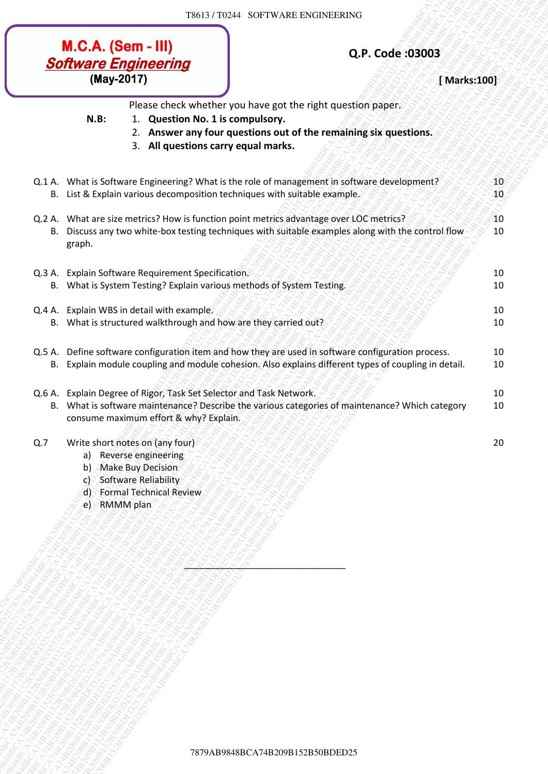# **Software Engineering**<br>
(May-2017) **Example 2017** (May-2017)

- 2. **Answer any four questions out of the remaining six questions.**
- 3. **All questions carry equal marks.**

|     | <b>M.C.A. (Sem - III)</b>  | <b>Software Engineering</b>                                                                                                                                      |                                                                         |                                                                                                                                                                           | Q.P. Code: 03003                                                                                     |                                 |
|-----|----------------------------|------------------------------------------------------------------------------------------------------------------------------------------------------------------|-------------------------------------------------------------------------|---------------------------------------------------------------------------------------------------------------------------------------------------------------------------|------------------------------------------------------------------------------------------------------|---------------------------------|
|     | (May-2017)                 |                                                                                                                                                                  |                                                                         |                                                                                                                                                                           | [Marks:100]                                                                                          |                                 |
|     | N.B:                       |                                                                                                                                                                  | 1. Question No. 1 is compulsory.<br>3. All questions carry equal marks. | Please check whether you have got the right question paper.<br>2. Answer any four questions out of the remaining six questions.                                           |                                                                                                      |                                 |
|     |                            |                                                                                                                                                                  |                                                                         | Q.1 A. What is Software Engineering? What is the role of management in software development?<br>B. List & Explain various decomposition techniques with suitable example. |                                                                                                      | $40^{\circ}$<br>40 <sub>°</sub> |
|     | graph.                     |                                                                                                                                                                  |                                                                         | Q.2 A. What are size metrics? How is function point metrics advantage over LOC metrics?                                                                                   | B. Discuss any two white-box testing techniques with suitable examples along with the control flow   | 10<br>10                        |
|     |                            | Q.3 A. Explain Software Requirement Specification.                                                                                                               |                                                                         |                                                                                                                                                                           |                                                                                                      | 10                              |
|     |                            |                                                                                                                                                                  | B. What is System Testing? Explain various methods of System Testing.   |                                                                                                                                                                           |                                                                                                      | 10                              |
|     |                            | Q.4 A. Explain WBS in detail with example.                                                                                                                       |                                                                         |                                                                                                                                                                           |                                                                                                      | 10                              |
|     |                            |                                                                                                                                                                  | B. What is structured walkthrough and how are they carried out?         |                                                                                                                                                                           |                                                                                                      | 10                              |
|     |                            |                                                                                                                                                                  |                                                                         | Q.5 A. Define software configuration item and how they are used in software configuration process.                                                                        | B. Explain module coupling and module cohesion. Also explains different types of coupling in detail. | 10<br>10                        |
|     |                            | consume maximum effort & why? Explain.                                                                                                                           | Q.6 A. Explain Degree of Rigor, Task Set Selector and Task Network.     |                                                                                                                                                                           | B. What is software maintenance? Describe the various categories of maintenance? Which category      | 10<br>10                        |
| Q.7 | a)<br>b)<br>C<br>d l<br>e) | Write short notes on (any four)<br>Reverse engineering<br><b>Make Buy Decision</b><br>Software Reliability<br><b>Formal Technical Review</b><br><b>RMMM</b> plan |                                                                         |                                                                                                                                                                           |                                                                                                      | 20                              |
|     |                            |                                                                                                                                                                  |                                                                         |                                                                                                                                                                           |                                                                                                      |                                 |
|     |                            |                                                                                                                                                                  |                                                                         |                                                                                                                                                                           |                                                                                                      |                                 |
|     |                            |                                                                                                                                                                  |                                                                         |                                                                                                                                                                           |                                                                                                      |                                 |
|     |                            |                                                                                                                                                                  |                                                                         |                                                                                                                                                                           |                                                                                                      |                                 |
|     |                            |                                                                                                                                                                  |                                                                         |                                                                                                                                                                           |                                                                                                      |                                 |
|     |                            |                                                                                                                                                                  |                                                                         |                                                                                                                                                                           |                                                                                                      |                                 |
|     |                            |                                                                                                                                                                  |                                                                         |                                                                                                                                                                           |                                                                                                      |                                 |
|     |                            |                                                                                                                                                                  |                                                                         |                                                                                                                                                                           |                                                                                                      |                                 |
|     |                            |                                                                                                                                                                  |                                                                         |                                                                                                                                                                           |                                                                                                      |                                 |
|     |                            |                                                                                                                                                                  |                                                                         |                                                                                                                                                                           |                                                                                                      |                                 |
|     |                            |                                                                                                                                                                  |                                                                         |                                                                                                                                                                           |                                                                                                      |                                 |
|     |                            |                                                                                                                                                                  |                                                                         | 7879AB9848BCA74B209B152B50BDED25                                                                                                                                          |                                                                                                      |                                 |